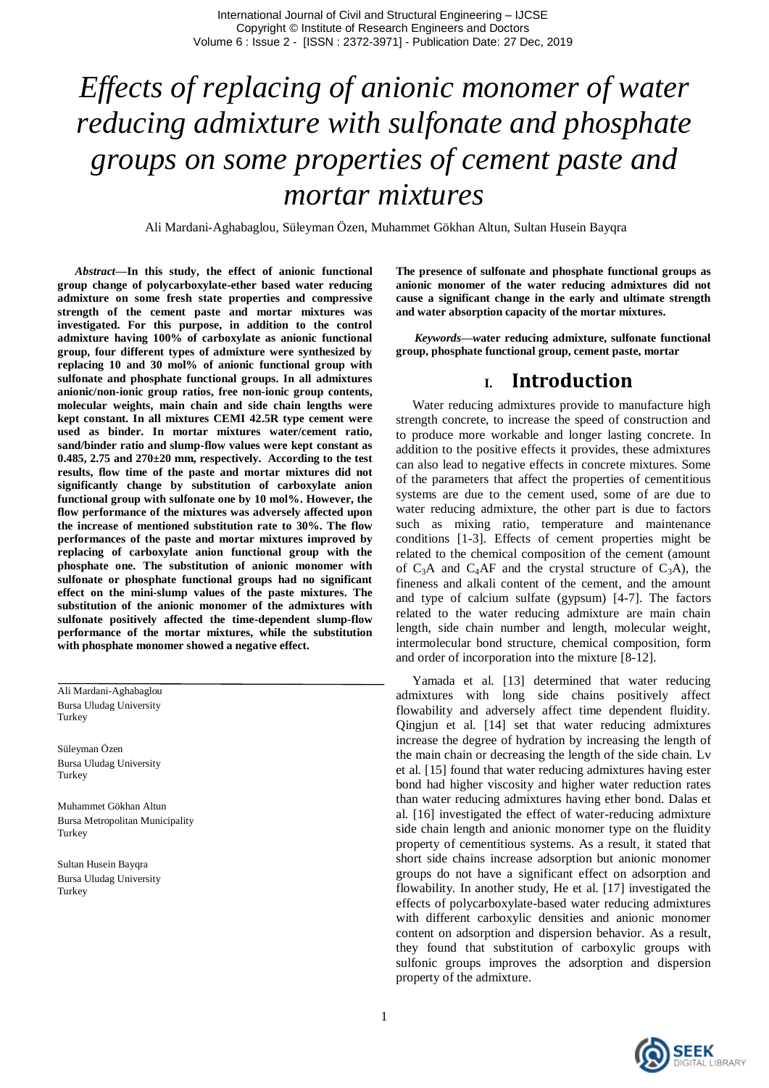# *Effects of replacing of anionic monomer of water reducing admixture with sulfonate and phosphate groups on some properties of cement paste and mortar mixtures*

Ali Mardani-Aghabaglou, Süleyman Özen, Muhammet Gökhan Altun, Sultan Husein Bayqra

*Abstract***—In this study, the effect of anionic functional group change of polycarboxylate-ether based water reducing admixture on some fresh state properties and compressive strength of the cement paste and mortar mixtures was investigated. For this purpose, in addition to the control admixture having 100% of carboxylate as anionic functional group, four different types of admixture were synthesized by replacing 10 and 30 mol% of anionic functional group with sulfonate and phosphate functional groups. In all admixtures anionic/non-ionic group ratios, free non-ionic group contents, molecular weights, main chain and side chain lengths were kept constant. In all mixtures CEMI 42.5R type cement were used as binder. In mortar mixtures water/cement ratio, sand/binder ratio and slump-flow values were kept constant as 0.485, 2.75 and 270±20 mm, respectively. According to the test results, flow time of the paste and mortar mixtures did not significantly change by substitution of carboxylate anion functional group with sulfonate one by 10 mol%. However, the flow performance of the mixtures was adversely affected upon the increase of mentioned substitution rate to 30%. The flow performances of the paste and mortar mixtures improved by replacing of carboxylate anion functional group with the phosphate one. The substitution of anionic monomer with sulfonate or phosphate functional groups had no significant effect on the mini-slump values of the paste mixtures. The substitution of the anionic monomer of the admixtures with sulfonate positively affected the time-dependent slump-flow performance of the mortar mixtures, while the substitution with phosphate monomer showed a negative effect.**

Ali Mardani-Aghabaglou Bursa Uludag University **Turkey** 

Süleyman Özen Bursa Uludag University **Turkey** 

Muhammet Gökhan Altun Bursa Metropolitan Municipality Turkey

Sultan Husein Bayqra Bursa Uludag University Turkey

**The presence of sulfonate and phosphate functional groups as anionic monomer of the water reducing admixtures did not cause a significant change in the early and ultimate strength and water absorption capacity of the mortar mixtures.**

*Keywords—w***ater reducing admixture, sulfonate functional group, phosphate functional group, cement paste, mortar**

### **I. Introduction**

 Water reducing admixtures provide to manufacture high strength concrete, to increase the speed of construction and to produce more workable and longer lasting concrete. In addition to the positive effects it provides, these admixtures can also lead to negative effects in concrete mixtures. Some of the parameters that affect the properties of cementitious systems are due to the cement used, some of are due to water reducing admixture, the other part is due to factors such as mixing ratio, temperature and maintenance conditions [1-3]. Effects of cement properties might be related to the chemical composition of the cement (amount of  $C_3A$  and  $C_4AF$  and the crystal structure of  $C_3A$ ), the fineness and alkali content of the cement, and the amount and type of calcium sulfate (gypsum) [4-7]. The factors related to the water reducing admixture are main chain length, side chain number and length, molecular weight, intermolecular bond structure, chemical composition, form and order of incorporation into the mixture [8-12].

 Yamada et al. [13] determined that water reducing admixtures with long side chains positively affect flowability and adversely affect time dependent fluidity. Qingjun et al. [14] set that water reducing admixtures increase the degree of hydration by increasing the length of the main chain or decreasing the length of the side chain. Lv et al. [15] found that water reducing admixtures having ester bond had higher viscosity and higher water reduction rates than water reducing admixtures having ether bond. Dalas et al. [16] investigated the effect of water-reducing admixture side chain length and anionic monomer type on the fluidity property of cementitious systems. As a result, it stated that short side chains increase adsorption but anionic monomer groups do not have a significant effect on adsorption and flowability. In another study, He et al. [17] investigated the effects of polycarboxylate-based water reducing admixtures with different carboxylic densities and anionic monomer content on adsorption and dispersion behavior. As a result, they found that substitution of carboxylic groups with sulfonic groups improves the adsorption and dispersion property of the admixture.

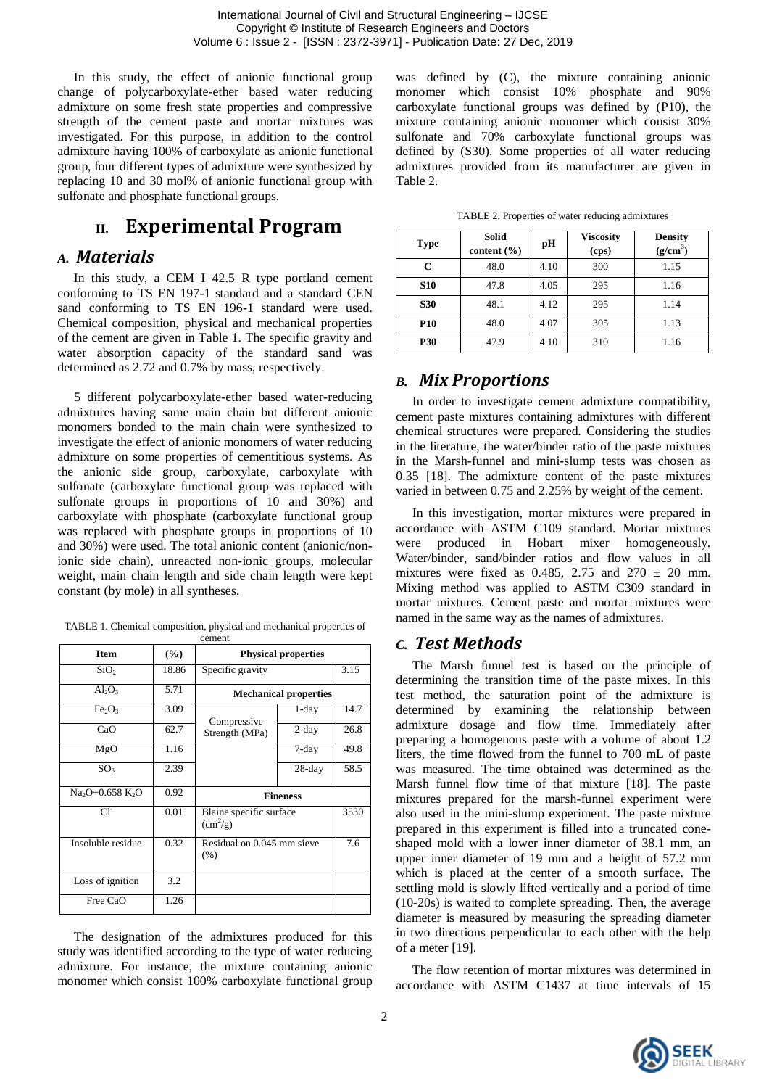In this study, the effect of anionic functional group change of polycarboxylate-ether based water reducing admixture on some fresh state properties and compressive strength of the cement paste and mortar mixtures was investigated. For this purpose, in addition to the control admixture having 100% of carboxylate as anionic functional group, four different types of admixture were synthesized by replacing 10 and 30 mol% of anionic functional group with sulfonate and phosphate functional groups.

# **II. Experimental Program**

#### *A. Materials*

 In this study, a CEM I 42.5 R type portland cement conforming to TS EN 197-1 standard and a standard CEN sand conforming to TS EN 196-1 standard were used. Chemical composition, physical and mechanical properties of the cement are given in Table 1. The specific gravity and water absorption capacity of the standard sand was determined as 2.72 and 0.7% by mass, respectively.

 5 different polycarboxylate-ether based water-reducing admixtures having same main chain but different anionic monomers bonded to the main chain were synthesized to investigate the effect of anionic monomers of water reducing admixture on some properties of cementitious systems. As the anionic side group, carboxylate, carboxylate with sulfonate (carboxylate functional group was replaced with sulfonate groups in proportions of 10 and 30%) and carboxylate with phosphate (carboxylate functional group was replaced with phosphate groups in proportions of 10 and 30%) were used. The total anionic content (anionic/nonionic side chain), unreacted non-ionic groups, molecular weight, main chain length and side chain length were kept constant (by mole) in all syntheses.

| TABLE 1. Chemical composition, physical and mechanical properties of |  |  |  |
|----------------------------------------------------------------------|--|--|--|
|                                                                      |  |  |  |

|                                |        | cement                                    |                            |      |
|--------------------------------|--------|-------------------------------------------|----------------------------|------|
| <b>Item</b>                    | $(\%)$ |                                           | <b>Physical properties</b> |      |
| SiO <sub>2</sub>               | 18.86  | Specific gravity                          | 3.15                       |      |
| $Al_2O_3$                      | 5.71   | <b>Mechanical properties</b>              |                            |      |
| Fe <sub>2</sub> O <sub>3</sub> | 3.09   | Compressive                               | $1$ -day                   | 14.7 |
| CaO                            | 62.7   | Strength (MPa)                            | $2$ -day                   | 26.8 |
| MgO                            | 1.16   |                                           | $7$ -day                   | 49.8 |
| SO <sub>3</sub>                | 2.39   |                                           | $28$ -day                  | 58.5 |
| $Na2O+0.658 K2O$               | 0.92   | <b>Fineness</b>                           |                            |      |
| Сľ                             | 0.01   | Blaine specific surface<br>$\rm (cm^2/g)$ |                            | 3530 |
| Insoluble residue              | 0.32   | Residual on 0.045 mm sieve<br>(% )        |                            | 7.6  |
| Loss of ignition               | 3.2    |                                           |                            |      |
| Free CaO                       | 1.26   |                                           |                            |      |

 The designation of the admixtures produced for this study was identified according to the type of water reducing admixture. For instance, the mixture containing anionic monomer which consist 100% carboxylate functional group

was defined by (C), the mixture containing anionic monomer which consist 10% phosphate and 90% carboxylate functional groups was defined by (P10), the mixture containing anionic monomer which consist 30% sulfonate and 70% carboxylate functional groups was defined by (S30). Some properties of all water reducing admixtures provided from its manufacturer are given in Table 2.

|  |  | TABLE 2. Properties of water reducing admixtures |
|--|--|--------------------------------------------------|
|  |  |                                                  |

| <b>Type</b> | <b>Solid</b><br>content $(\% )$ | рH   | <b>Viscosity</b><br>(cps) | <b>Density</b><br>(g/cm <sup>3</sup> ) |
|-------------|---------------------------------|------|---------------------------|----------------------------------------|
| C           | 48.0                            | 4.10 | 300                       | 1.15                                   |
| <b>S10</b>  | 47.8                            | 4.05 | 295                       | 1.16                                   |
| <b>S30</b>  | 48.1                            | 4.12 | 295                       | 1.14                                   |
| <b>P10</b>  | 48.0                            | 4.07 | 305                       | 1.13                                   |
| <b>P30</b>  | 47.9                            | 4.10 | 310                       | 1.16                                   |

## *B. Mix Proportions*

 In order to investigate cement admixture compatibility, cement paste mixtures containing admixtures with different chemical structures were prepared. Considering the studies in the literature, the water/binder ratio of the paste mixtures in the Marsh-funnel and mini-slump tests was chosen as 0.35 [18]. The admixture content of the paste mixtures varied in between 0.75 and 2.25% by weight of the cement.

 In this investigation, mortar mixtures were prepared in accordance with ASTM C109 standard. Mortar mixtures were produced in Hobart mixer homogeneously. Water/binder, sand/binder ratios and flow values in all mixtures were fixed as 0.485, 2.75 and  $270 \pm 20$  mm. Mixing method was applied to ASTM C309 standard in mortar mixtures. Cement paste and mortar mixtures were named in the same way as the names of admixtures.

## *C. Test Methods*

 The Marsh funnel test is based on the principle of determining the transition time of the paste mixes. In this test method, the saturation point of the admixture is determined by examining the relationship between admixture dosage and flow time. Immediately after preparing a homogenous paste with a volume of about 1.2 liters, the time flowed from the funnel to 700 mL of paste was measured. The time obtained was determined as the Marsh funnel flow time of that mixture [18]. The paste mixtures prepared for the marsh-funnel experiment were also used in the mini-slump experiment. The paste mixture prepared in this experiment is filled into a truncated coneshaped mold with a lower inner diameter of 38.1 mm, an upper inner diameter of 19 mm and a height of 57.2 mm which is placed at the center of a smooth surface. The settling mold is slowly lifted vertically and a period of time (10-20s) is waited to complete spreading. Then, the average diameter is measured by measuring the spreading diameter in two directions perpendicular to each other with the help of a meter [19].

 The flow retention of mortar mixtures was determined in accordance with ASTM C1437 at time intervals of 15

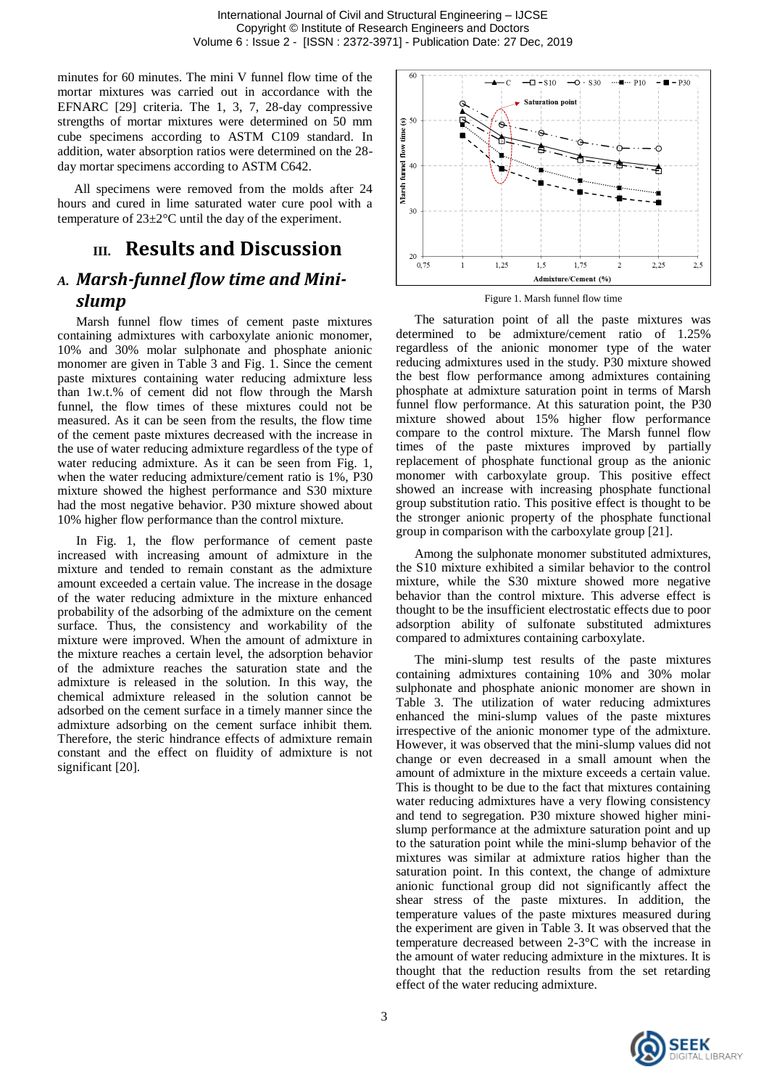minutes for 60 minutes. The mini V funnel flow time of the mortar mixtures was carried out in accordance with the EFNARC [29] criteria. The 1, 3, 7, 28-day compressive strengths of mortar mixtures were determined on 50 mm cube specimens according to ASTM C109 standard. In addition, water absorption ratios were determined on the 28 day mortar specimens according to ASTM C642.

 All specimens were removed from the molds after 24 hours and cured in lime saturated water cure pool with a temperature of 23±2°C until the day of the experiment.

# **III. Results and Discussion**

# *A. Marsh-funnel flow time and Minislump*

Marsh funnel flow times of cement paste mixtures containing admixtures with carboxylate anionic monomer, 10% and 30% molar sulphonate and phosphate anionic monomer are given in Table 3 and Fig. 1. Since the cement paste mixtures containing water reducing admixture less than 1w.t.% of cement did not flow through the Marsh funnel, the flow times of these mixtures could not be measured. As it can be seen from the results, the flow time of the cement paste mixtures decreased with the increase in the use of water reducing admixture regardless of the type of water reducing admixture. As it can be seen from Fig. 1, when the water reducing admixture/cement ratio is 1%, P30 mixture showed the highest performance and S30 mixture had the most negative behavior. P30 mixture showed about 10% higher flow performance than the control mixture.

In Fig. 1, the flow performance of cement paste increased with increasing amount of admixture in the mixture and tended to remain constant as the admixture amount exceeded a certain value. The increase in the dosage of the water reducing admixture in the mixture enhanced probability of the adsorbing of the admixture on the cement surface. Thus, the consistency and workability of the mixture were improved. When the amount of admixture in the mixture reaches a certain level, the adsorption behavior of the admixture reaches the saturation state and the admixture is released in the solution. In this way, the chemical admixture released in the solution cannot be adsorbed on the cement surface in a timely manner since the admixture adsorbing on the cement surface inhibit them. Therefore, the steric hindrance effects of admixture remain constant and the effect on fluidity of admixture is not significant [20].



Figure 1. Marsh funnel flow time

The saturation point of all the paste mixtures was determined to be admixture/cement ratio of 1.25% regardless of the anionic monomer type of the water reducing admixtures used in the study. P30 mixture showed the best flow performance among admixtures containing phosphate at admixture saturation point in terms of Marsh funnel flow performance. At this saturation point, the P30 mixture showed about 15% higher flow performance compare to the control mixture. The Marsh funnel flow times of the paste mixtures improved by partially replacement of phosphate functional group as the anionic monomer with carboxylate group. This positive effect showed an increase with increasing phosphate functional group substitution ratio. This positive effect is thought to be the stronger anionic property of the phosphate functional group in comparison with the carboxylate group [21].

Among the sulphonate monomer substituted admixtures, the S10 mixture exhibited a similar behavior to the control mixture, while the S30 mixture showed more negative behavior than the control mixture. This adverse effect is thought to be the insufficient electrostatic effects due to poor adsorption ability of sulfonate substituted admixtures compared to admixtures containing carboxylate.

The mini-slump test results of the paste mixtures containing admixtures containing 10% and 30% molar sulphonate and phosphate anionic monomer are shown in Table 3. The utilization of water reducing admixtures enhanced the mini-slump values of the paste mixtures irrespective of the anionic monomer type of the admixture. However, it was observed that the mini-slump values did not change or even decreased in a small amount when the amount of admixture in the mixture exceeds a certain value. This is thought to be due to the fact that mixtures containing water reducing admixtures have a very flowing consistency and tend to segregation. P30 mixture showed higher minislump performance at the admixture saturation point and up to the saturation point while the mini-slump behavior of the mixtures was similar at admixture ratios higher than the saturation point. In this context, the change of admixture anionic functional group did not significantly affect the shear stress of the paste mixtures. In addition, the temperature values of the paste mixtures measured during the experiment are given in Table 3. It was observed that the temperature decreased between 2-3°C with the increase in the amount of water reducing admixture in the mixtures. It is thought that the reduction results from the set retarding effect of the water reducing admixture.

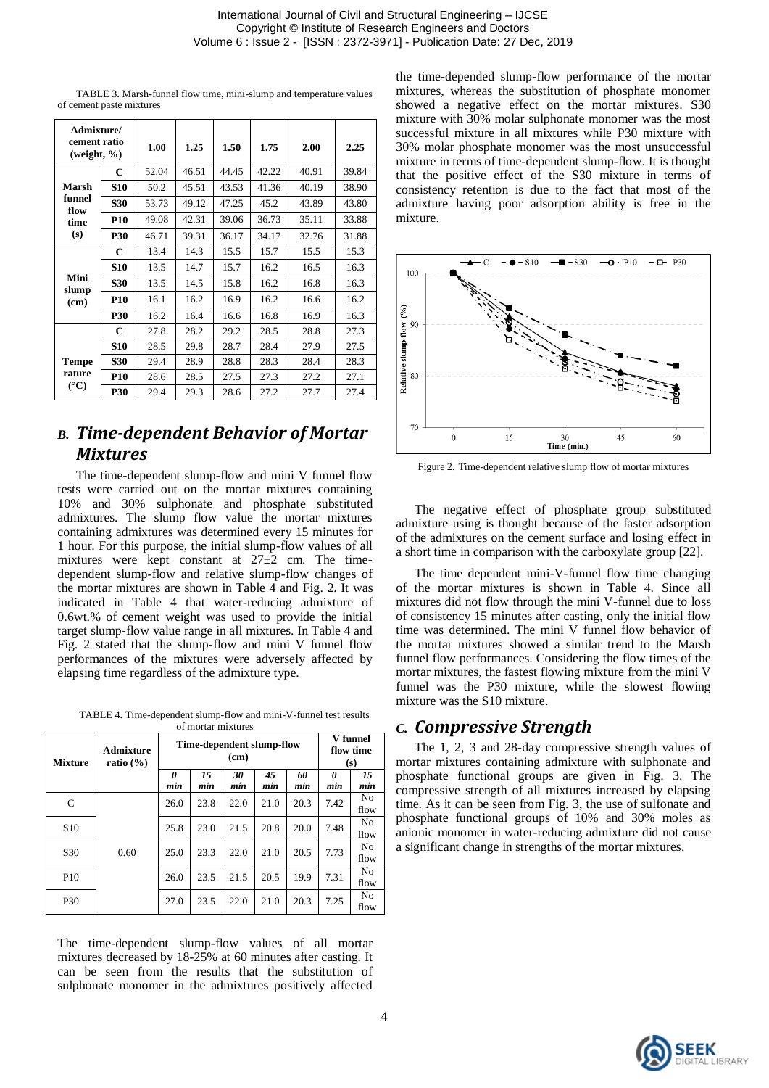| TABLE 3. Marsh-funnel flow time, mini-slump and temperature values |  |  |  |
|--------------------------------------------------------------------|--|--|--|
| of cement paste mixtures                                           |  |  |  |

| Admixture/<br>cement ratio<br>(weight, $\%$ ) |            | 1.00  | 1.25  | 1.50  | 1.75  | 2.00  | 2.25  |
|-----------------------------------------------|------------|-------|-------|-------|-------|-------|-------|
|                                               | C          | 52.04 | 46.51 | 44.45 | 42.22 | 40.91 | 39.84 |
| Marsh                                         | <b>S10</b> | 50.2  | 45.51 | 43.53 | 41.36 | 40.19 | 38.90 |
| funnel<br>flow                                | <b>S30</b> | 53.73 | 49.12 | 47.25 | 45.2  | 43.89 | 43.80 |
| time                                          | <b>P10</b> | 49.08 | 42.31 | 39.06 | 36.73 | 35.11 | 33.88 |
| (s)                                           | <b>P30</b> | 46.71 | 39.31 | 36.17 | 34.17 | 32.76 | 31.88 |
|                                               | C          | 13.4  | 14.3  | 15.5  | 15.7  | 15.5  | 15.3  |
|                                               | <b>S10</b> | 13.5  | 14.7  | 15.7  | 16.2  | 16.5  | 16.3  |
| Mini<br>slump                                 | <b>S30</b> | 13.5  | 14.5  | 15.8  | 16.2  | 16.8  | 16.3  |
| (cm)                                          | <b>P10</b> | 16.1  | 16.2  | 16.9  | 16.2  | 16.6  | 16.2  |
|                                               | <b>P30</b> | 16.2  | 16.4  | 16.6  | 16.8  | 16.9  | 16.3  |
|                                               | C          | 27.8  | 28.2  | 29.2  | 28.5  | 28.8  | 27.3  |
|                                               | <b>S10</b> | 28.5  | 29.8  | 28.7  | 28.4  | 27.9  | 27.5  |
| <b>Tempe</b>                                  | <b>S30</b> | 29.4  | 28.9  | 28.8  | 28.3  | 28.4  | 28.3  |
| rature<br>$(^{\circ}C)$                       | <b>P10</b> | 28.6  | 28.5  | 27.5  | 27.3  | 27.2  | 27.1  |
|                                               | <b>P30</b> | 29.4  | 29.3  | 28.6  | 27.2  | 27.7  | 27.4  |

## *B. Time-dependent Behavior of Mortar Mixtures*

The time-dependent slump-flow and mini V funnel flow tests were carried out on the mortar mixtures containing 10% and 30% sulphonate and phosphate substituted admixtures. The slump flow value the mortar mixtures containing admixtures was determined every 15 minutes for 1 hour. For this purpose, the initial slump-flow values of all mixtures were kept constant at 27±2 cm. The timedependent slump-flow and relative slump-flow changes of the mortar mixtures are shown in Table 4 and Fig. 2. It was indicated in Table 4 that water-reducing admixture of 0.6wt.% of cement weight was used to provide the initial target slump-flow value range in all mixtures. In Table 4 and Fig. 2 stated that the slump-flow and mini V funnel flow performances of the mixtures were adversely affected by elapsing time regardless of the admixture type.

TABLE 4. Time-dependent slump-flow and mini-V-funnel test results of mortar mixtures

| <b>Mixture</b>  | Admixture<br>ratio $(\% )$ | Time-dependent slump-flow<br>(c <b>m</b> ) |           |           |           |           | V funnel<br>flow time<br>(s) |                        |
|-----------------|----------------------------|--------------------------------------------|-----------|-----------|-----------|-----------|------------------------------|------------------------|
|                 |                            | 0<br>min                                   | 15<br>min | 30<br>min | 45<br>min | 60<br>min | 0<br>min                     | 15<br>min              |
| C               | 0.60                       | 26.0                                       | 23.8      | 22.0      | 21.0      | 20.3      | 7.42                         | N <sub>0</sub><br>flow |
| S <sub>10</sub> |                            | 25.8                                       | 23.0      | 21.5      | 20.8      | 20.0      | 7.48                         | N <sub>0</sub><br>flow |
| S <sub>30</sub> |                            | 25.0                                       | 23.3      | 22.0      | 21.0      | 20.5      | 7.73                         | N <sub>0</sub><br>flow |
| P <sub>10</sub> |                            | 26.0                                       | 23.5      | 21.5      | 20.5      | 19.9      | 7.31                         | N <sub>0</sub><br>flow |
| P30             |                            | 27.0                                       | 23.5      | 22.0      | 21.0      | 20.3      | 7.25                         | N <sub>0</sub><br>flow |

The time-dependent slump-flow values of all mortar mixtures decreased by 18-25% at 60 minutes after casting. It can be seen from the results that the substitution of sulphonate monomer in the admixtures positively affected

the time-depended slump-flow performance of the mortar mixtures, whereas the substitution of phosphate monomer showed a negative effect on the mortar mixtures. S30 mixture with 30% molar sulphonate monomer was the most successful mixture in all mixtures while P30 mixture with 30% molar phosphate monomer was the most unsuccessful mixture in terms of time-dependent slump-flow. It is thought that the positive effect of the S30 mixture in terms of consistency retention is due to the fact that most of the admixture having poor adsorption ability is free in the mixture.



Figure 2. Time-dependent relative slump flow of mortar mixtures

The negative effect of phosphate group substituted admixture using is thought because of the faster adsorption of the admixtures on the cement surface and losing effect in a short time in comparison with the carboxylate group [22].

The time dependent mini-V-funnel flow time changing of the mortar mixtures is shown in Table 4. Since all mixtures did not flow through the mini V-funnel due to loss of consistency 15 minutes after casting, only the initial flow time was determined. The mini V funnel flow behavior of the mortar mixtures showed a similar trend to the Marsh funnel flow performances. Considering the flow times of the mortar mixtures, the fastest flowing mixture from the mini V funnel was the P30 mixture, while the slowest flowing mixture was the S10 mixture.

#### *C. Compressive Strength*

The 1, 2, 3 and 28-day compressive strength values of mortar mixtures containing admixture with sulphonate and phosphate functional groups are given in Fig. 3. The compressive strength of all mixtures increased by elapsing time. As it can be seen from Fig. 3, the use of sulfonate and phosphate functional groups of 10% and 30% moles as anionic monomer in water-reducing admixture did not cause a significant change in strengths of the mortar mixtures.

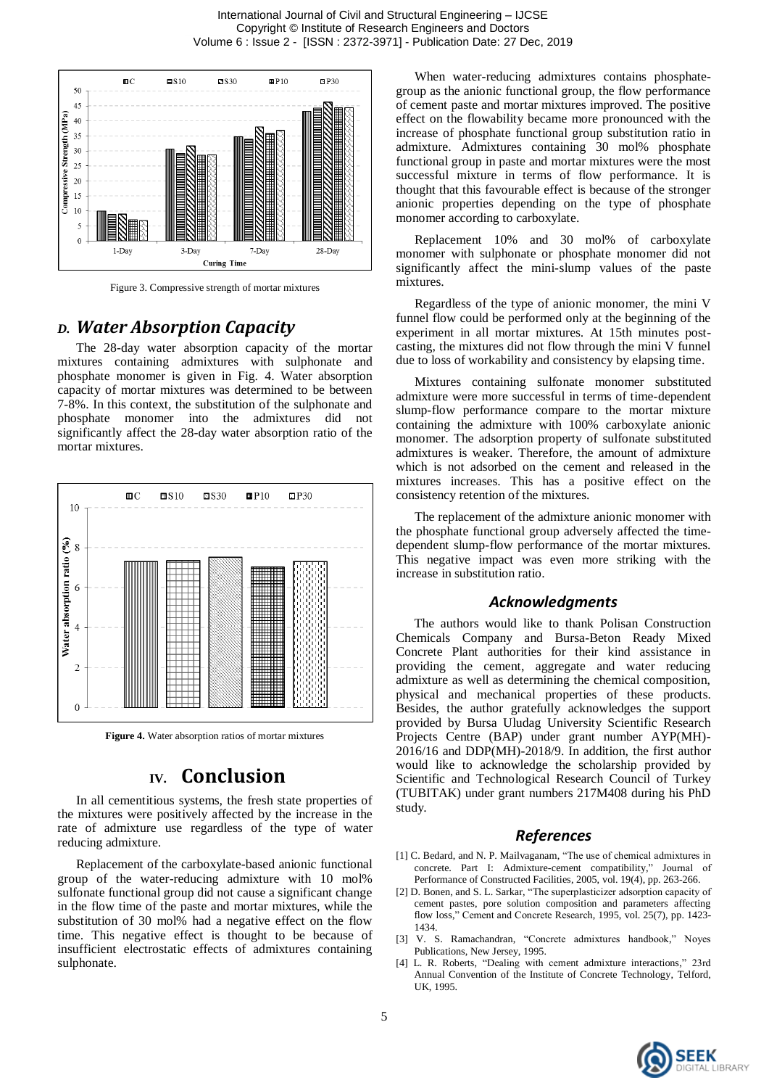

Figure 3. Compressive strength of mortar mixtures

#### *D. Water Absorption Capacity*

The 28-day water absorption capacity of the mortar mixtures containing admixtures with sulphonate and phosphate monomer is given in Fig. 4. Water absorption capacity of mortar mixtures was determined to be between 7-8%. In this context, the substitution of the sulphonate and phosphate monomer into the admixtures did not significantly affect the 28-day water absorption ratio of the mortar mixtures.



**Figure 4.** Water absorption ratios of mortar mixtures

## **IV. Conclusion**

In all cementitious systems, the fresh state properties of the mixtures were positively affected by the increase in the rate of admixture use regardless of the type of water reducing admixture.

Replacement of the carboxylate-based anionic functional group of the water-reducing admixture with 10 mol% sulfonate functional group did not cause a significant change in the flow time of the paste and mortar mixtures, while the substitution of 30 mol% had a negative effect on the flow time. This negative effect is thought to be because of insufficient electrostatic effects of admixtures containing sulphonate.

When water-reducing admixtures contains phosphategroup as the anionic functional group, the flow performance of cement paste and mortar mixtures improved. The positive effect on the flowability became more pronounced with the increase of phosphate functional group substitution ratio in admixture. Admixtures containing 30 mol% phosphate functional group in paste and mortar mixtures were the most successful mixture in terms of flow performance. It is thought that this favourable effect is because of the stronger anionic properties depending on the type of phosphate monomer according to carboxylate.

Replacement 10% and 30 mol% of carboxylate monomer with sulphonate or phosphate monomer did not significantly affect the mini-slump values of the paste mixtures.

Regardless of the type of anionic monomer, the mini V funnel flow could be performed only at the beginning of the experiment in all mortar mixtures. At 15th minutes postcasting, the mixtures did not flow through the mini V funnel due to loss of workability and consistency by elapsing time.

Mixtures containing sulfonate monomer substituted admixture were more successful in terms of time-dependent slump-flow performance compare to the mortar mixture containing the admixture with 100% carboxylate anionic monomer. The adsorption property of sulfonate substituted admixtures is weaker. Therefore, the amount of admixture which is not adsorbed on the cement and released in the mixtures increases. This has a positive effect on the consistency retention of the mixtures.

The replacement of the admixture anionic monomer with the phosphate functional group adversely affected the timedependent slump-flow performance of the mortar mixtures. This negative impact was even more striking with the increase in substitution ratio.

#### *Acknowledgments*

The authors would like to thank Polisan Construction Chemicals Company and Bursa-Beton Ready Mixed Concrete Plant authorities for their kind assistance in providing the cement, aggregate and water reducing admixture as well as determining the chemical composition, physical and mechanical properties of these products. Besides, the author gratefully acknowledges the support provided by Bursa Uludag University Scientific Research Projects Centre (BAP) under grant number AYP(MH)- 2016/16 and DDP(MH)-2018/9. In addition, the first author would like to acknowledge the scholarship provided by Scientific and Technological Research Council of Turkey (TUBITAK) under grant numbers 217M408 during his PhD study.

#### *References*

- [1] C. Bedard, and N. P. Mailvaganam, "The use of chemical admixtures in concrete. Part I: Admixture-cement compatibility," Journal of Performance of Constructed Facilities, 2005, vol. 19(4), pp. 263-266.
- [2] D. Bonen, and S. L. Sarkar, "The superplasticizer adsorption capacity of cement pastes, pore solution composition and parameters affecting flow loss," Cement and Concrete Research, 1995, vol. 25(7), pp. 1423- 1434.
- [3] V. S. Ramachandran, "Concrete admixtures handbook," Noyes Publications, New Jersey, 1995.
- L. R. Roberts, "Dealing with cement admixture interactions," 23rd Annual Convention of the Institute of Concrete Technology, Telford, UK, 1995.